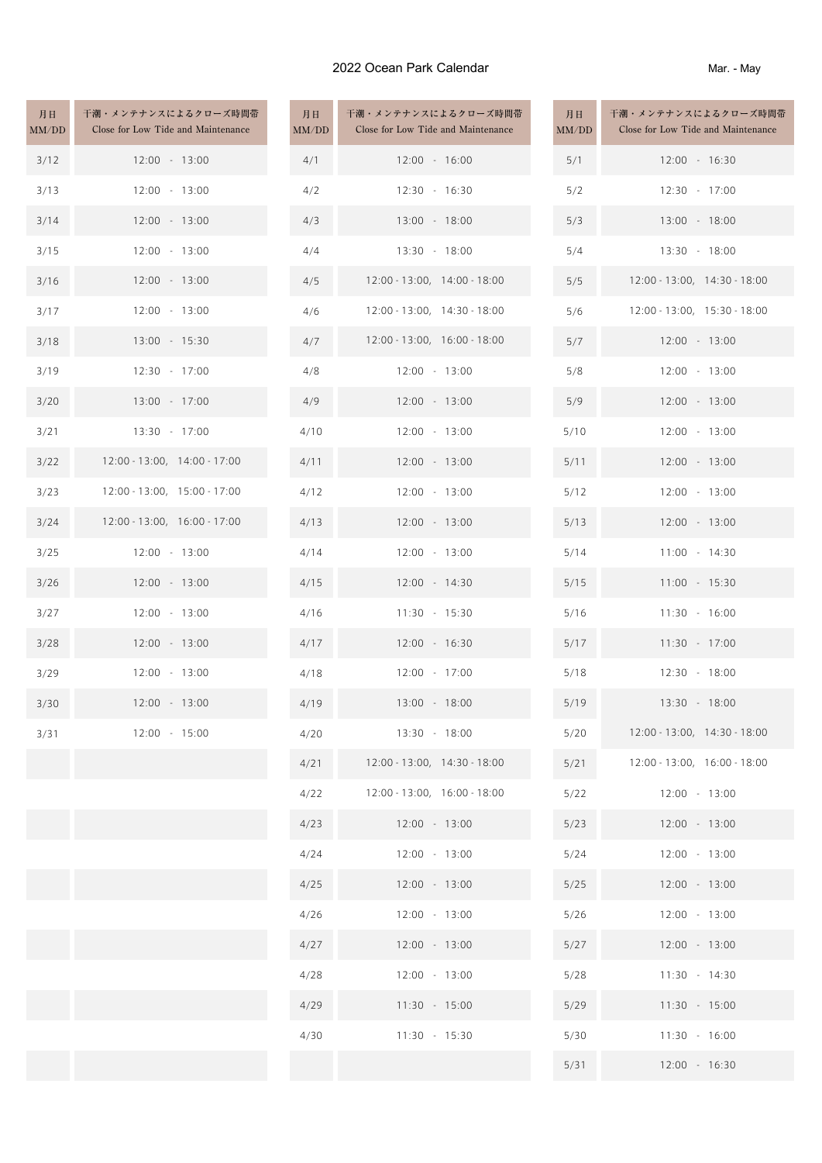## 2022 Ocean Park Calendar

Mar. - May

| 月日<br>MM/DD | 干潮・メンテナンスによるクローズ時間帯<br>Close for Low Tide and Maintenance | 月日<br>MM/DD | 干潮・メンテナンスによるクローズ時間帯<br>Close for Low Tide and Maintenance | 月日<br>MM/DD | 干潮・メンテナンスによるクロ<br>Close for Low Tide and Ma |
|-------------|-----------------------------------------------------------|-------------|-----------------------------------------------------------|-------------|---------------------------------------------|
| 3/12        | $12:00 - 13:00$                                           | 4/1         | 12:00 - 16:00                                             | 5/1         | 12:00 - 16:30                               |
| 3/13        | $12:00 - 13:00$                                           | 4/2         | $12:30 - 16:30$                                           | 5/2         | 12:30 - 17:00                               |
| 3/14        | $12:00 - 13:00$                                           | 4/3         | 13:00 - 18:00                                             | 5/3         | 13:00 - 18:00                               |
| 3/15        | 12:00 - 13:00                                             | 4/4         | 13:30 - 18:00                                             | 5/4         | 13:30 - 18:00                               |
| 3/16        | $12:00 - 13:00$                                           | 4/5         | 12:00 - 13:00, 14:00 - 18:00                              | 5/5         | 12:00 - 13:00, 14:30                        |
| 3/17        | 12:00 - 13:00                                             | 4/6         | 12:00 - 13:00, 14:30 - 18:00                              | 5/6         | 12:00 - 13:00, 15:30                        |
| 3/18        | 13:00 - 15:30                                             | 4/7         | $12:00 - 13:00, 16:00 - 18:00$                            | 5/7         | 12:00 - 13:00                               |
| 3/19        | 12:30 - 17:00                                             | 4/8         | 12:00 - 13:00                                             | 5/8         | 12:00 - 13:00                               |
| 3/20        | 13:00 - 17:00                                             | 4/9         | 12:00 - 13:00                                             | 5/9         | 12:00 - 13:00                               |
| 3/21        | 13:30 - 17:00                                             | 4/10        | 12:00 - 13:00                                             | 5/10        | 12:00 - 13:00                               |
| 3/22        | 12:00 - 13:00, 14:00 - 17:00                              | 4/11        | $12:00 - 13:00$                                           | 5/11        | 12:00 - 13:00                               |
| 3/23        | 12:00 - 13:00, 15:00 - 17:00                              | 4/12        | $12:00 - 13:00$                                           | 5/12        | 12:00 - 13:00                               |
| 3/24        | 12:00 - 13:00, 16:00 - 17:00                              | 4/13        | $12:00 - 13:00$                                           | 5/13        | 12:00 - 13:00                               |
| 3/25        | $12:00 - 13:00$                                           | 4/14        | $12:00 - 13:00$                                           | 5/14        | 11:00 - 14:30                               |
| 3/26        | $12:00 - 13:00$                                           | 4/15        | 12:00 - 14:30                                             | 5/15        | 11:00 - 15:30                               |
| 3/27        | 12:00 - 13:00                                             | 4/16        | $11:30 - 15:30$                                           | 5/16        | 11:30 - 16:00                               |
| 3/28        | $12:00 - 13:00$                                           | 4/17        | $12:00 - 16:30$                                           | 5/17        | 11:30 - 17:00                               |
| 3/29        | 12:00 - 13:00                                             | 4/18        | 12:00 - 17:00                                             | 5/18        | 12:30 - 18:00                               |
| 3/30        | $12:00 - 13:00$                                           | 4/19        | 13:00 - 18:00                                             | 5/19        | 13:30 - 18:00                               |
| 3/31        | 12:00 - 15:00                                             | 4/20        | 13:30 - 18:00                                             | 5/20        | 12:00 - 13:00, 14:30                        |
|             |                                                           | 4/21        | 12:00 - 13:00, 14:30 - 18:00                              | 5/21        | 12:00 - 13:00, 16:00                        |
|             |                                                           | 4/22        | 12:00 - 13:00, 16:00 - 18:00                              | 5/22        | 12:00 - 13:00                               |
|             |                                                           | 4/23        | $12:00 - 13:00$                                           | 5/23        | 12:00 - 13:00                               |
|             |                                                           | 4/24        | 12:00 - 13:00                                             | 5/24        | 12:00 - 13:00                               |
|             |                                                           | 4/25        | 12:00 - 13:00                                             | 5/25        | 12:00 - 13:00                               |
|             |                                                           | 4/26        | 12:00 - 13:00                                             | 5/26        | 12:00 - 13:00                               |
|             |                                                           | 4/27        | $12:00 - 13:00$                                           | 5/27        | 12:00 - 13:00                               |
|             |                                                           | 4/28        | 12:00 - 13:00                                             | 5/28        | 11:30 - 14:30                               |
|             |                                                           | 4/29        | $11:30 - 15:00$                                           | 5/29        | 11:30 - 15:00                               |
|             |                                                           | 4/30        | $11:30 - 15:30$                                           | 5/30        | $11:30 - 16:00$                             |
|             |                                                           |             |                                                           | 5/31        | 12:00 - 16:30                               |

| 月日<br>MM/DD | 干潮・メンテナンスによるクローズ時間帯<br>Close for Low Tide and Maintenance | 月日<br>MM/DD | 干潮・メンテナンスによるクロ<br>Close for Low Tide and Ma |
|-------------|-----------------------------------------------------------|-------------|---------------------------------------------|
| 4/1         | $12:00 - 16:00$                                           | 5/1         | 12:00 - 16:30                               |
| 4/2         | 12:30 - 16:30                                             | 5/2         | 12:30 - 17:00                               |
| 4/3         | 13:00 - 18:00                                             | 5/3         | 13:00 - 18:00                               |
| 4/4         | 13:30 - 18:00                                             | 5/4         | 13:30 - 18:00                               |
| 4/5         | 12:00 - 13:00, 14:00 - 18:00                              | 5/5         | 12:00 - 13:00, 14:30                        |
| 4/6         | 12:00 - 13:00, 14:30 - 18:00                              | 5/6         | 12:00 - 13:00, 15:30                        |
| 4/7         | 12:00 - 13:00, 16:00 - 18:00                              | 5/7         | 12:00 - 13:00                               |
| 4/8         | 12:00 - 13:00                                             | 5/8         | 12:00 - 13:00                               |
| 4/9         | 12:00 - 13:00                                             | 5/9         | 12:00 - 13:00                               |
| 4/10        | 12:00 - 13:00                                             | 5/10        | 12:00 - 13:00                               |
| 4/11        | 12:00 - 13:00                                             | 5/11        | 12:00 - 13:00                               |
| 4/12        | $12:00 - 13:00$                                           | 5/12        | 12:00 - 13:00                               |
| 4/13        | 12:00 - 13:00                                             | 5/13        | 12:00 - 13:00                               |
| 4/14        | 12:00 - 13:00                                             | 5/14        | 11:00 - 14:30                               |
| 4/15        | 12:00 - 14:30                                             | 5/15        | 11:00 - 15:30                               |
| 4/16        | $11:30 - 15:30$                                           | 5/16        | $11:30 - 16:00$                             |
| 4/17        | 12:00 - 16:30                                             | 5/17        | 11:30 - 17:00                               |
| 4/18        | 12:00 - 17:00                                             | 5/18        | 12:30 - 18:00                               |
| 4/19        | 13:00 - 18:00                                             | 5/19        | 13:30 - 18:00                               |
| 4/20        | 13:30 - 18:00                                             | 5/20        | 12:00 - 13:00, 14:30                        |
| 4/21        | 12:00 - 13:00, 14:30 - 18:00                              | 5/21        | 12:00 - 13:00, 16:00                        |
| 4/22        | 12:00 - 13:00, 16:00 - 18:00                              | 5/22        | 12:00 - 13:00                               |
| 4/23        | $12:00 - 13:00$                                           | 5/23        | 12:00 - 13:00                               |
| 4/24        | 12:00 - 13:00                                             | 5/24        | 12:00 - 13:00                               |
| 4/25        | 12:00 - 13:00                                             | 5/25        | 12:00 - 13:00                               |
| 4/26        | 12:00 - 13:00                                             | 5/26        | 12:00 - 13:00                               |
| 4/27        | 12:00 - 13:00                                             | 5/27        | 12:00 - 13:00                               |
| 4/28        | 12:00 - 13:00                                             | 5/28        | 11:30 - 14:30                               |
| 4/29        | 11:30 - 15:00                                             | 5/29        | 11:30 - 15:00                               |
| 4/30        | $11:30 - 15:30$                                           | 5/30        | 11:30 - 16:00                               |
|             |                                                           | 5/31        | 12:00 - 16:30                               |

| 月日<br>MM/DD | 干潮・メンテナンスによるクローズ時間帯<br>Close for Low Tide and Maintenance |
|-------------|-----------------------------------------------------------|
| 5/1         | 12:00 - 16:30                                             |
| 5/2         | 12:30 - 17:00                                             |
| 5/3         | 13:00 - 18:00                                             |
| 5/4         | 13:30 - 18:00                                             |
| 5/5         | 12:00 - 13:00, 14:30 - 18:00                              |
| 5/6         | 12:00 - 13:00, 15:30 - 18:00                              |
| 5/7         | 12:00 - 13:00                                             |
| 5/8         | 12:00 - 13:00                                             |
| 5/9         | 12:00 - 13:00                                             |
| 5/10        | 12:00 - 13:00                                             |
| 5/11        | 12:00 - 13:00                                             |
| 5/12        | 12:00 - 13:00                                             |
| 5/13        | 12:00 - 13:00                                             |
| 5/14        | $11:00 - 14:30$                                           |
| 5/15        | 11:00 - 15:30                                             |
| 5/16        | 11:30 - 16:00                                             |
| 5/17        | 11:30 - 17:00                                             |
| 5/18        | 12:30 - 18:00                                             |
| 5/19        | 13:30 - 18:00                                             |
| 5/20        | 12:00 - 13:00, 14:30 - 18:00                              |
| 5/21        | 12:00 - 13:00, 16:00 - 18:00                              |
| 5/22        | 12:00 - 13:00                                             |
| 5/23        | 12:00 - 13:00                                             |
| 5/24        | 12:00 - 13:00                                             |
| 5/25        | 12:00 - 13:00                                             |
| 5/26        | 12:00 - 13:00                                             |
| 5/27        | 12:00 - 13:00                                             |
| 5/28        | 11:30 - 14:30                                             |
| 5/29        | 11:30 - 15:00                                             |
| 5/30        | 11:30 - 16:00                                             |
| 5/31        | 12:00 - 16:30                                             |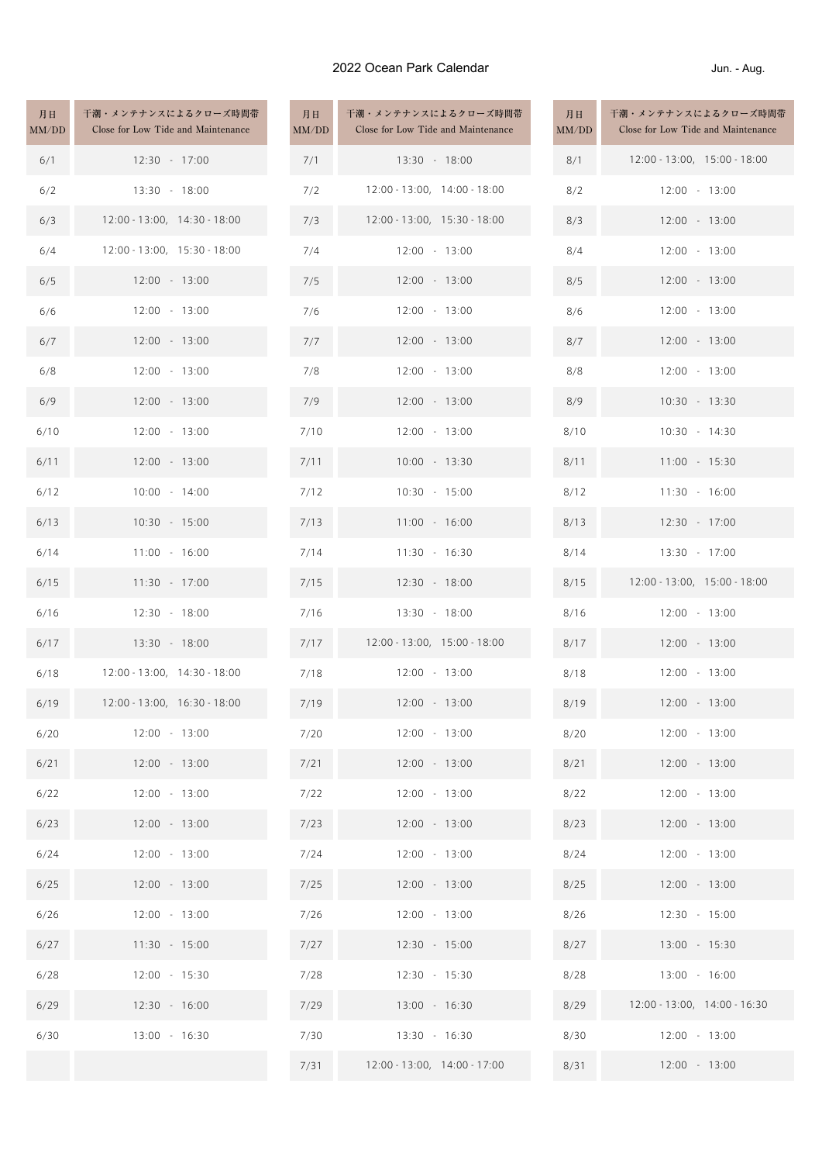## 2022 Ocean Park Calendar

Jun. - Aug.

| 月日<br>MM/DD | 干潮・メンテナンスによるクローズ時間帯<br>Close for Low Tide and Maintenance | 月日<br>MM/DD | 干潮・メンテナンスによるクローズ時間帯<br>Close for Low Tide and Maintenance | 月日<br>MM/DD | 干潮・メンテナンスによるクロ<br>Close for Low Tide and Ma |
|-------------|-----------------------------------------------------------|-------------|-----------------------------------------------------------|-------------|---------------------------------------------|
| 6/1         | 12:30 - 17:00                                             | 7/1         | 13:30 - 18:00                                             | 8/1         | 12:00 - 13:00, 15:00                        |
| 6/2         | 13:30 - 18:00                                             | 7/2         | 12:00 - 13:00, 14:00 - 18:00                              | 8/2         | 12:00 - 13:00                               |
| 6/3         | 12:00 - 13:00, 14:30 - 18:00                              | 7/3         | 12:00 - 13:00, 15:30 - 18:00                              | 8/3         | 12:00 - 13:00                               |
| 6/4         | 12:00 - 13:00, 15:30 - 18:00                              | 7/4         | $12:00 - 13:00$                                           | 8/4         | 12:00 - 13:00                               |
| 6/5         | $12:00 - 13:00$                                           | 7/5         | $12:00 - 13:00$                                           | 8/5         | 12:00 - 13:00                               |
| 6/6         | 12:00 - 13:00                                             | 7/6         | 12:00 - 13:00                                             | 8/6         | 12:00 - 13:00                               |
| 6/7         | $12:00 - 13:00$                                           | 7/7         | $12:00 - 13:00$                                           | 8/7         | 12:00 - 13:00                               |
| 6/8         | 12:00 - 13:00                                             | 7/8         | 12:00 - 13:00                                             | 8/8         | 12:00 - 13:00                               |
| 6/9         | $12:00 - 13:00$                                           | 7/9         | $12:00 - 13:00$                                           | 8/9         | 10:30 - 13:30                               |
| 6/10        | $12:00 - 13:00$                                           | 7/10        | 12:00 - 13:00                                             | 8/10        | 10:30 - 14:30                               |
| 6/11        | $12:00 - 13:00$                                           | 7/11        | $10:00 - 13:30$                                           | 8/11        | 11:00 - 15:30                               |
| 6/12        | $10:00 - 14:00$                                           | 7/12        | $10:30 - 15:00$                                           | 8/12        | $11:30 - 16:00$                             |
| 6/13        | 10:30 - 15:00                                             | 7/13        | 11:00 - 16:00                                             | 8/13        | 12:30 - 17:00                               |
| 6/14        | $11:00 - 16:00$                                           | 7/14        | $11:30 - 16:30$                                           | 8/14        | 13:30 - 17:00                               |
| 6/15        | $11:30 - 17:00$                                           | 7/15        | 12:30 - 18:00                                             | 8/15        | 12:00 - 13:00, 15:00                        |
| 6/16        | 12:30 - 18:00                                             | 7/16        | 13:30 - 18:00                                             | 8/16        | 12:00 - 13:00                               |
| 6/17        | $13:30 - 18:00$                                           | 7/17        | 12:00 - 13:00, 15:00 - 18:00                              | 8/17        | 12:00 - 13:00                               |
| 6/18        | $12:00 - 13:00, 14:30 - 18:00$                            | 7/18        | $12:00 - 13:00$                                           | 8/18        | 12:00 - 13:00                               |
| 6/19        | $12:00 - 13:00, 16:30 - 18:00$                            | 7/19        | $12:00 - 13:00$                                           | 8/19        | $12:00 - 13:00$                             |
| 6/20        | $12:00 - 13:00$                                           | 7/20        | $12:00 - 13:00$                                           | 8/20        | 12:00 - 13:00                               |
| 6/21        | $12:00 - 13:00$                                           | 7/21        | 12:00 - 13:00                                             | 8/21        | 12:00 - 13:00                               |
| 6/22        | 12:00 - 13:00                                             | 7/22        | 12:00 - 13:00                                             | 8/22        | 12:00 - 13:00                               |
| 6/23        | $12:00 - 13:00$                                           | 7/23        | 12:00 - 13:00                                             | 8/23        | 12:00 - 13:00                               |
| 6/24        | 12:00 - 13:00                                             | 7/24        | 12:00 - 13:00                                             | 8/24        | 12:00 - 13:00                               |
| 6/25        | $12:00 - 13:00$                                           | 7/25        | $12:00 - 13:00$                                           | 8/25        | 12:00 - 13:00                               |
| 6/26        | $12:00 - 13:00$                                           | 7/26        | $12:00 - 13:00$                                           | 8/26        | 12:30 - 15:00                               |
| 6/27        | $11:30 - 15:00$                                           | 7/27        | 12:30 - 15:00                                             | 8/27        | 13:00 - 15:30                               |
| 6/28        | 12:00 - 15:30                                             | 7/28        | 12:30 - 15:30                                             | 8/28        | 13:00 - 16:00                               |
| 6/29        | 12:30 - 16:00                                             | 7/29        | 13:00 - 16:30                                             | 8/29        | 12:00 - 13:00, 14:00                        |
| 6/30        | 13:00 - 16:30                                             | 7/30        | $13:30 - 16:30$                                           | 8/30        | 12:00 - 13:00                               |
|             |                                                           | 7/31        | 12:00 - 13:00, 14:00 - 17:00                              | 8/31        | 12:00 - 13:00                               |

| 月日<br>IM/DD | 干潮・メンテナンスによるクローズ時間帯<br>Close for Low Tide and Maintenance | 月日<br>MM/DD | 干潮・メンテナンスによるクロ<br>Close for Low Tide and Ma |
|-------------|-----------------------------------------------------------|-------------|---------------------------------------------|
| 7/1         | 13:30 - 18:00                                             | 8/1         | 12:00 - 13:00, 15:00                        |
| 7/2         | 12:00 - 13:00, 14:00 - 18:00                              | 8/2         | 12:00 - 13:00                               |
| 7/3         | 12:00 - 13:00, 15:30 - 18:00                              | 8/3         | 12:00 - 13:00                               |
| 7/4         | 12:00 - 13:00                                             | 8/4         | 12:00 - 13:00                               |
| 7/5         | $12:00 - 13:00$                                           | 8/5         | 12:00 - 13:00                               |
| 7/6         | 12:00 - 13:00                                             | 8/6         | 12:00 - 13:00                               |
| 7/7         | 12:00 - 13:00                                             | 8/7         | 12:00 - 13:00                               |
| 7/8         | 12:00 - 13:00                                             | 8/8         | 12:00 - 13:00                               |
| 7/9         | 12:00 - 13:00                                             | 8/9         | 10:30 - 13:30                               |
| 7/10        | 12:00 - 13:00                                             | 8/10        | 10:30 - 14:30                               |
| 7/11        | $10:00 - 13:30$                                           | 8/11        | 11:00 - 15:30                               |
| 7/12        | $10:30 - 15:00$                                           | 8/12        | 11:30 - 16:00                               |
| 7/13        | $11:00 - 16:00$                                           | 8/13        | 12:30 - 17:00                               |
| 7/14        | 11:30 - 16:30                                             | 8/14        | 13:30 - 17:00                               |
| 7/15        | 12:30 - 18:00                                             | 8/15        | 12:00 - 13:00, 15:00                        |
| 7/16        | 13:30 - 18:00                                             | 8/16        | 12:00 - 13:00                               |
| 7/17        | 12:00 - 13:00, 15:00 - 18:00                              | 8/17        | 12:00 - 13:00                               |
| 7/18        | 12:00 - 13:00                                             | 8/18        | 12:00 - 13:00                               |
| 7/19        | 12:00 - 13:00                                             | 8/19        | 12:00 - 13:00                               |
| 7/20        | 12:00 - 13:00                                             | 8/20        | 12:00 - 13:00                               |
| 7/21        | 12:00 - 13:00                                             | 8/21        | 12:00 - 13:00                               |
| 7/22        | $12:00 - 13:00$                                           | 8/22        | 12:00 - 13:00                               |
| 7/23        | 12:00 - 13:00                                             | 8/23        | 12:00 - 13:00                               |
| 7/24        | 12:00 - 13:00                                             | 8/24        | 12:00 - 13:00                               |
| 7/25        | 12:00 - 13:00                                             | 8/25        | 12:00 - 13:00                               |
| 7/26        | 12:00 - 13:00                                             | 8/26        | 12:30 - 15:00                               |
| 7/27        | 12:30 - 15:00                                             | 8/27        | 13:00 - 15:30                               |
| 7/28        | 12:30 - 15:30                                             | 8/28        | 13:00 - 16:00                               |
| 7/29        | $13:00 - 16:30$                                           | 8/29        | 12:00 - 13:00, 14:00                        |
| 7/30        | 13:30 - 16:30                                             | 8/30        | 12:00 - 13:00                               |
| 7/31        | 12:00 - 13:00, 14:00 - 17:00                              | 8/31        | 12:00 - 13:00                               |

| 月日<br>MM/DD | 干潮・メンテナンスによるクローズ時間帯<br>Close for Low Tide and Maintenance |
|-------------|-----------------------------------------------------------|
| 8/1         | 12:00 - 13:00, 15:00 - 18:00                              |
| 8/2         | 12:00 - 13:00                                             |
| 8/3         | 12:00 - 13:00                                             |
| 8/4         | 12:00 - 13:00                                             |
| 8/5         | 12:00 - 13:00                                             |
| 8/6         | 12:00 - 13:00                                             |
| 8/7         | 12:00 - 13:00                                             |
| 8/8         | 12:00 - 13:00                                             |
| 8/9         | 10:30 - 13:30                                             |
| 8/10        | 10:30 - 14:30                                             |
| 8/11        | 11:00 - 15:30                                             |
| 8/12        | 11:30 - 16:00                                             |
| 8/13        | 12:30 - 17:00                                             |
| 8/14        | 13:30 - 17:00                                             |
| 8/15        | 12:00 - 13:00, 15:00 - 18:00                              |
| 8/16        | 12:00 - 13:00                                             |
| 8/17        | 12:00 - 13:00                                             |
| 8/18        | 12:00 - 13:00                                             |
| 8/19        | 12:00 - 13:00                                             |
| 8/20        | 12:00 - 13:00                                             |
| 8/21        | 12:00 - 13:00                                             |
| 8/22        | 12:00 - 13:00                                             |
| 8/23        | 12:00 - 13:00                                             |
| 8/24        | 12:00 - 13:00                                             |
| 8/25        | 12:00 - 13:00                                             |
| 8/26        | 12:30 - 15:00                                             |
| 8/27        | 13:00 - 15:30                                             |
| 8/28        | 13:00 - 16:00                                             |
| 8/29        | 12:00 - 13:00, 14:00 - 16:30                              |
| 8/30        | 12:00 - 13:00                                             |
| 8/31        | 12:00 - 13:00                                             |
|             |                                                           |